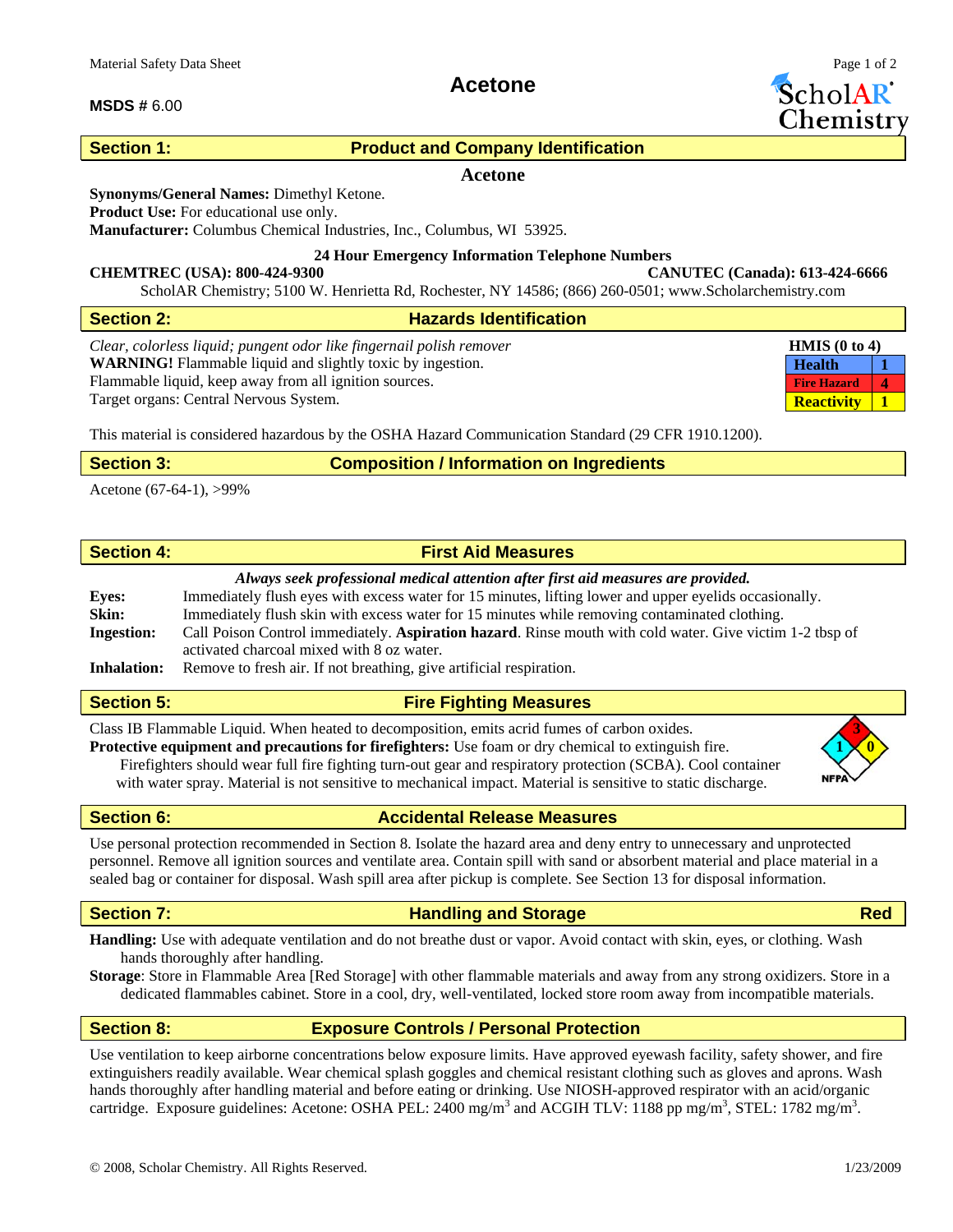## **MSDS #** 6.00

# **Acetone**

ScholAR Chemistr

# **Section 1: Product and Company Identification**

## **Acetone**

### **Synonyms/General Names:** Dimethyl Ketone.

**Product Use:** For educational use only.

**Manufacturer:** Columbus Chemical Industries, Inc., Columbus, WI 53925.

### **24 Hour Emergency Information Telephone Numbers**

**CHEMTREC (USA): 800-424-9300 CANUTEC (Canada): 613-424-6666**  ScholAR Chemistry; 5100 W. Henrietta Rd, Rochester, NY 14586; (866) 260-0501; www.Scholarchemistry.com

| Section 2:                                                                                          | <b>Hazards Identification</b> |                                 |                            |
|-----------------------------------------------------------------------------------------------------|-------------------------------|---------------------------------|----------------------------|
| Clear, colorless liquid; pungent odor like fingernail polish remover                                |                               | <b>HMIS</b> $(0 \text{ to } 4)$ |                            |
| <b>WARNING!</b> Flammable liquid and slightly toxic by ingestion.                                   |                               | <b>Health</b>                   |                            |
| Flammable liquid, keep away from all ignition sources.                                              |                               | <b>Fire Hazard</b>              | $\boldsymbol{\mathcal{A}}$ |
| Target organs: Central Nervous System.                                                              |                               |                                 |                            |
| This material is considered hazardous by the OSHA Hazard Communication Standard (29 CFR 1910.1200). |                               |                                 |                            |

| <b>Section 3:</b> | <b>Composition / Information on Ingredients</b> |  |
|-------------------|-------------------------------------------------|--|
|-------------------|-------------------------------------------------|--|

Acetone (67-64-1), >99%

| <b>Section 4:</b> | <b>First Aid Measures</b> |
|-------------------|---------------------------|

## *Always seek professional medical attention after first aid measures are provided.*

| <b>Eves:</b>       | Immediately flush eyes with excess water for 15 minutes, lifting lower and upper eyelids occasionally.   |
|--------------------|----------------------------------------------------------------------------------------------------------|
| Skin:              | Immediately flush skin with excess water for 15 minutes while removing contaminated clothing.            |
| <b>Ingestion:</b>  | Call Poison Control immediately. Aspiration hazard. Rinse mouth with cold water. Give victim 1-2 tbsp of |
|                    | activated charcoal mixed with 8 oz water.                                                                |
| <b>Inhalation:</b> | Remove to fresh air. If not breathing, give artificial respiration.                                      |

# **Section 5: Fire Fighting Measures**

Class IB Flammable Liquid. When heated to decomposition, emits acrid fumes of carbon oxides. **3**

**Protective equipment and precautions for firefighters:** Use foam or dry chemical to extinguish fire. **1 0** Firefighters should wear full fire fighting turn-out gear and respiratory protection (SCBA). Cool container with water spray. Material is not sensitive to mechanical impact. Material is sensitive to static discharge.



**Section 6: Accidental Release Measures** 

Use personal protection recommended in Section 8. Isolate the hazard area and deny entry to unnecessary and unprotected personnel. Remove all ignition sources and ventilate area. Contain spill with sand or absorbent material and place material in a sealed bag or container for disposal. Wash spill area after pickup is complete. See Section 13 for disposal information.

# **Section 7: Construction Construction Construction Construction Construction Construction Construction Red**

**Handling:** Use with adequate ventilation and do not breathe dust or vapor. Avoid contact with skin, eyes, or clothing. Wash hands thoroughly after handling.

**Storage**: Store in Flammable Area [Red Storage] with other flammable materials and away from any strong oxidizers. Store in a dedicated flammables cabinet. Store in a cool, dry, well-ventilated, locked store room away from incompatible materials.

# **Section 8: Exposure Controls / Personal Protection**

Use ventilation to keep airborne concentrations below exposure limits. Have approved eyewash facility, safety shower, and fire extinguishers readily available. Wear chemical splash goggles and chemical resistant clothing such as gloves and aprons. Wash hands thoroughly after handling material and before eating or drinking. Use NIOSH-approved respirator with an acid/organic cartridge. Exposure guidelines: Acetone: OSHA PEL: 2400 mg/m<sup>3</sup> and ACGIH TLV: 1188 pp mg/m<sup>3</sup>, STEL: 1782 mg/m<sup>3</sup>.